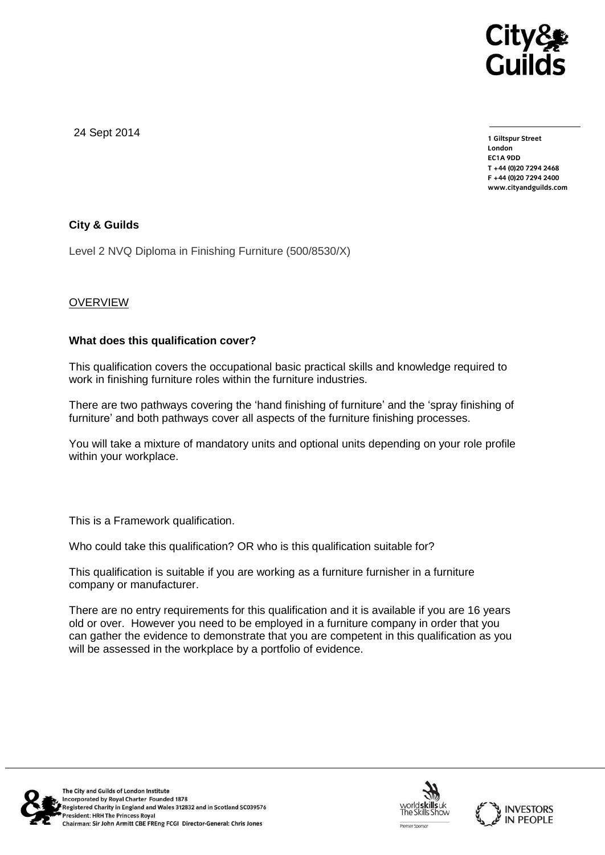

24 Sept 2014

**1 Giltspur Street EC1A 9DD** T +44 (0)20 7294 2468 **T +44 (0)20 7294 246[8](http://www.cityandguilds.com/) F +44 (0)20 7294 2400 [www.cityandguilds.com](http://www.cityandguilds.com/)**

# **City & Guilds**

Level 2 NVQ Diploma in Finishing Furniture (500/8530/X)

# **OVERVIEW**

#### **What does this qualification cover?**

This qualification covers the occupational basic practical skills and knowledge required to work in finishing furniture roles within the furniture industries.

There are two pathways covering the 'hand finishing of furniture' and the 'spray finishing of furniture' and both pathways cover all aspects of the furniture finishing processes.

You will take a mixture of mandatory units and optional units depending on your role profile within your workplace.

This is a Framework qualification.

Who could take this qualification? OR who is this qualification suitable for?

This qualification is suitable if you are working as a furniture furnisher in a furniture company or manufacturer.

There are no entry requirements for this qualification and it is available if you are 16 years old or over. However you need to be employed in a furniture company in order that you can gather the evidence to demonstrate that you are competent in this qualification as you will be assessed in the workplace by a portfolio of evidence.